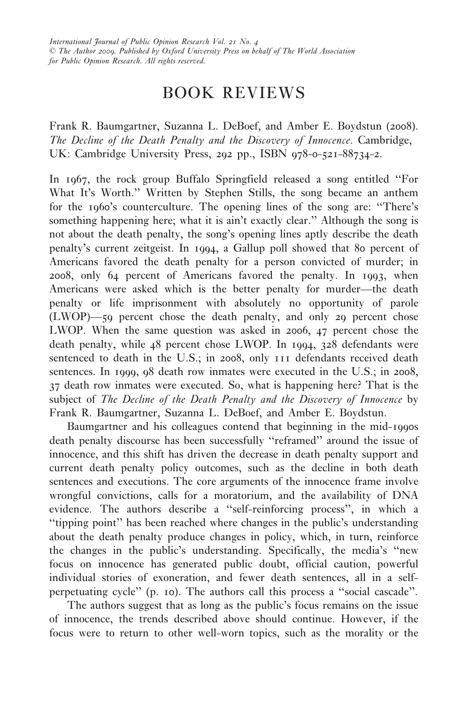## BOOK REVIEWS

Frank R. Baumgartner, Suzanna L. DeBoef, and Amber E. Boydstun (2008). The Decline of the Death Penalty and the Discovery of Innocence. Cambridge, UK: Cambridge University Press, 292 pp., ISBN 978-0-521-88734-2.

In 1967, the rock group Buffalo Springfield released a song entitled ''For What It's Worth.'' Written by Stephen Stills, the song became an anthem for the 1960's counterculture. The opening lines of the song are: ''There's something happening here; what it is ain't exactly clear.'' Although the song is not about the death penalty, the song's opening lines aptly describe the death penalty's current zeitgeist. In 1994, a Gallup poll showed that 80 percent of Americans favored the death penalty for a person convicted of murder; in 2008, only 64 percent of Americans favored the penalty. In 1993, when Americans were asked which is the better penalty for murder—the death penalty or life imprisonment with absolutely no opportunity of parole (LWOP)—59 percent chose the death penalty, and only 29 percent chose LWOP. When the same question was asked in 2006, 47 percent chose the death penalty, while 48 percent chose LWOP. In 1994, 328 defendants were sentenced to death in the U.S.; in 2008, only  $III$  defendants received death sentences. In 1999, 98 death row inmates were executed in the U.S.; in 2008, 37 death row inmates were executed. So, what is happening here? That is the subject of The Decline of the Death Penalty and the Discovery of Innocence by Frank R. Baumgartner, Suzanna L. DeBoef, and Amber E. Boydstun.

Baumgartner and his colleagues contend that beginning in the mid-1990s death penalty discourse has been successfully ''reframed'' around the issue of innocence, and this shift has driven the decrease in death penalty support and current death penalty policy outcomes, such as the decline in both death sentences and executions. The core arguments of the innocence frame involve wrongful convictions, calls for a moratorium, and the availability of DNA evidence. The authors describe a ''self-reinforcing process'', in which a ''tipping point'' has been reached where changes in the public's understanding about the death penalty produce changes in policy, which, in turn, reinforce the changes in the public's understanding. Specifically, the media's ''new focus on innocence has generated public doubt, official caution, powerful individual stories of exoneration, and fewer death sentences, all in a selfperpetuating cycle'' (p. 10). The authors call this process a ''social cascade''.

The authors suggest that as long as the public's focus remains on the issue of innocence, the trends described above should continue. However, if the focus were to return to other well-worn topics, such as the morality or the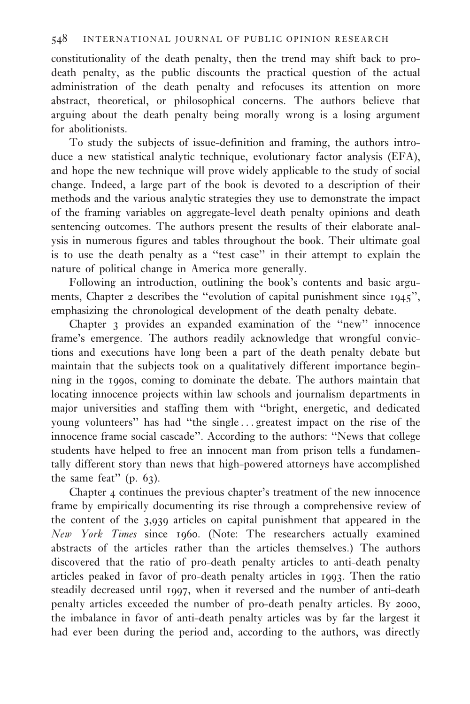constitutionality of the death penalty, then the trend may shift back to prodeath penalty, as the public discounts the practical question of the actual administration of the death penalty and refocuses its attention on more abstract, theoretical, or philosophical concerns. The authors believe that arguing about the death penalty being morally wrong is a losing argument for abolitionists.

To study the subjects of issue-definition and framing, the authors introduce a new statistical analytic technique, evolutionary factor analysis (EFA), and hope the new technique will prove widely applicable to the study of social change. Indeed, a large part of the book is devoted to a description of their methods and the various analytic strategies they use to demonstrate the impact of the framing variables on aggregate-level death penalty opinions and death sentencing outcomes. The authors present the results of their elaborate analysis in numerous figures and tables throughout the book. Their ultimate goal is to use the death penalty as a ''test case'' in their attempt to explain the nature of political change in America more generally.

Following an introduction, outlining the book's contents and basic arguments, Chapter 2 describes the "evolution of capital punishment since 1945", emphasizing the chronological development of the death penalty debate.

Chapter 3 provides an expanded examination of the ''new'' innocence frame's emergence. The authors readily acknowledge that wrongful convictions and executions have long been a part of the death penalty debate but maintain that the subjects took on a qualitatively different importance beginning in the 1990s, coming to dominate the debate. The authors maintain that locating innocence projects within law schools and journalism departments in major universities and staffing them with ''bright, energetic, and dedicated young volunteers'' has had ''the single ... greatest impact on the rise of the innocence frame social cascade''. According to the authors: ''News that college students have helped to free an innocent man from prison tells a fundamentally different story than news that high-powered attorneys have accomplished the same feat"  $(p. 63)$ .

Chapter 4 continues the previous chapter's treatment of the new innocence frame by empirically documenting its rise through a comprehensive review of the content of the 3,939 articles on capital punishment that appeared in the New York Times since 1960. (Note: The researchers actually examined abstracts of the articles rather than the articles themselves.) The authors discovered that the ratio of pro-death penalty articles to anti-death penalty articles peaked in favor of pro-death penalty articles in 1993. Then the ratio steadily decreased until 1997, when it reversed and the number of anti-death penalty articles exceeded the number of pro-death penalty articles. By 2000, the imbalance in favor of anti-death penalty articles was by far the largest it had ever been during the period and, according to the authors, was directly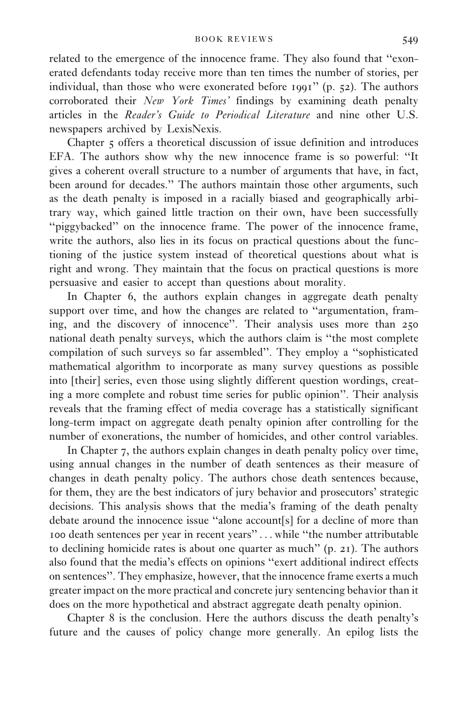related to the emergence of the innocence frame. They also found that ''exonerated defendants today receive more than ten times the number of stories, per individual, than those who were exonerated before 1991'' (p. 52). The authors corroborated their New York Times' findings by examining death penalty articles in the Reader's Guide to Periodical Literature and nine other U.S. newspapers archived by LexisNexis.

Chapter 5 offers a theoretical discussion of issue definition and introduces EFA. The authors show why the new innocence frame is so powerful: ''It gives a coherent overall structure to a number of arguments that have, in fact, been around for decades.'' The authors maintain those other arguments, such as the death penalty is imposed in a racially biased and geographically arbitrary way, which gained little traction on their own, have been successfully "piggybacked" on the innocence frame. The power of the innocence frame, write the authors, also lies in its focus on practical questions about the functioning of the justice system instead of theoretical questions about what is right and wrong. They maintain that the focus on practical questions is more persuasive and easier to accept than questions about morality.

In Chapter 6, the authors explain changes in aggregate death penalty support over time, and how the changes are related to "argumentation, framing, and the discovery of innocence''. Their analysis uses more than 250 national death penalty surveys, which the authors claim is ''the most complete compilation of such surveys so far assembled''. They employ a ''sophisticated mathematical algorithm to incorporate as many survey questions as possible into [their] series, even those using slightly different question wordings, creating a more complete and robust time series for public opinion''. Their analysis reveals that the framing effect of media coverage has a statistically significant long-term impact on aggregate death penalty opinion after controlling for the number of exonerations, the number of homicides, and other control variables.

In Chapter 7, the authors explain changes in death penalty policy over time, using annual changes in the number of death sentences as their measure of changes in death penalty policy. The authors chose death sentences because, for them, they are the best indicators of jury behavior and prosecutors' strategic decisions. This analysis shows that the media's framing of the death penalty debate around the innocence issue ''alone account[s] for a decline of more than 100 death sentences per year in recent years'' ...while ''the number attributable to declining homicide rates is about one quarter as much'' (p. 21). The authors also found that the media's effects on opinions ''exert additional indirect effects on sentences''. They emphasize, however, that the innocence frame exerts a much greater impact on the more practical and concrete jury sentencing behavior than it does on the more hypothetical and abstract aggregate death penalty opinion.

Chapter 8 is the conclusion. Here the authors discuss the death penalty's future and the causes of policy change more generally. An epilog lists the